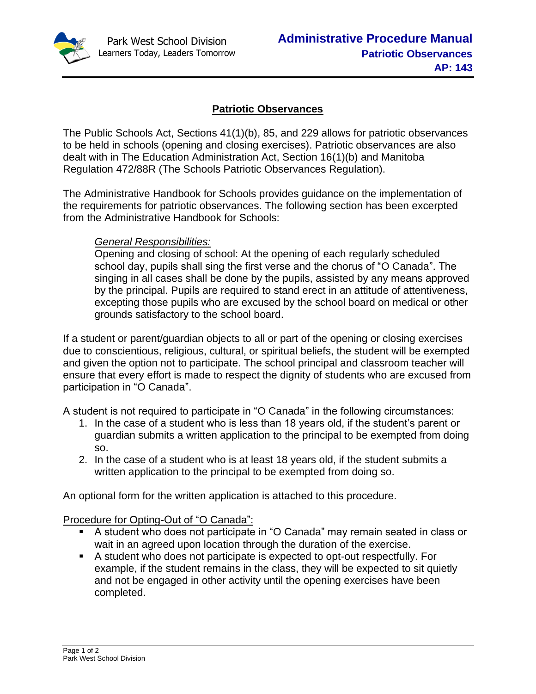

## **Patriotic Observances**

The Public Schools Act, Sections 41(1)(b), 85, and 229 allows for patriotic observances to be held in schools (opening and closing exercises). Patriotic observances are also dealt with in The Education Administration Act, Section 16(1)(b) and Manitoba Regulation 472/88R (The Schools Patriotic Observances Regulation).

The Administrative Handbook for Schools provides guidance on the implementation of the requirements for patriotic observances. The following section has been excerpted from the Administrative Handbook for Schools:

## *General Responsibilities:*

Opening and closing of school: At the opening of each regularly scheduled school day, pupils shall sing the first verse and the chorus of "O Canada". The singing in all cases shall be done by the pupils, assisted by any means approved by the principal. Pupils are required to stand erect in an attitude of attentiveness, excepting those pupils who are excused by the school board on medical or other grounds satisfactory to the school board.

If a student or parent/guardian objects to all or part of the opening or closing exercises due to conscientious, religious, cultural, or spiritual beliefs, the student will be exempted and given the option not to participate. The school principal and classroom teacher will ensure that every effort is made to respect the dignity of students who are excused from participation in "O Canada".

A student is not required to participate in "O Canada" in the following circumstances:

- 1. In the case of a student who is less than 18 years old, if the student's parent or guardian submits a written application to the principal to be exempted from doing so.
- 2. In the case of a student who is at least 18 years old, if the student submits a written application to the principal to be exempted from doing so.

An optional form for the written application is attached to this procedure.

Procedure for Opting-Out of "O Canada":

- A student who does not participate in "O Canada" may remain seated in class or wait in an agreed upon location through the duration of the exercise.
- A student who does not participate is expected to opt-out respectfully. For example, if the student remains in the class, they will be expected to sit quietly and not be engaged in other activity until the opening exercises have been completed.